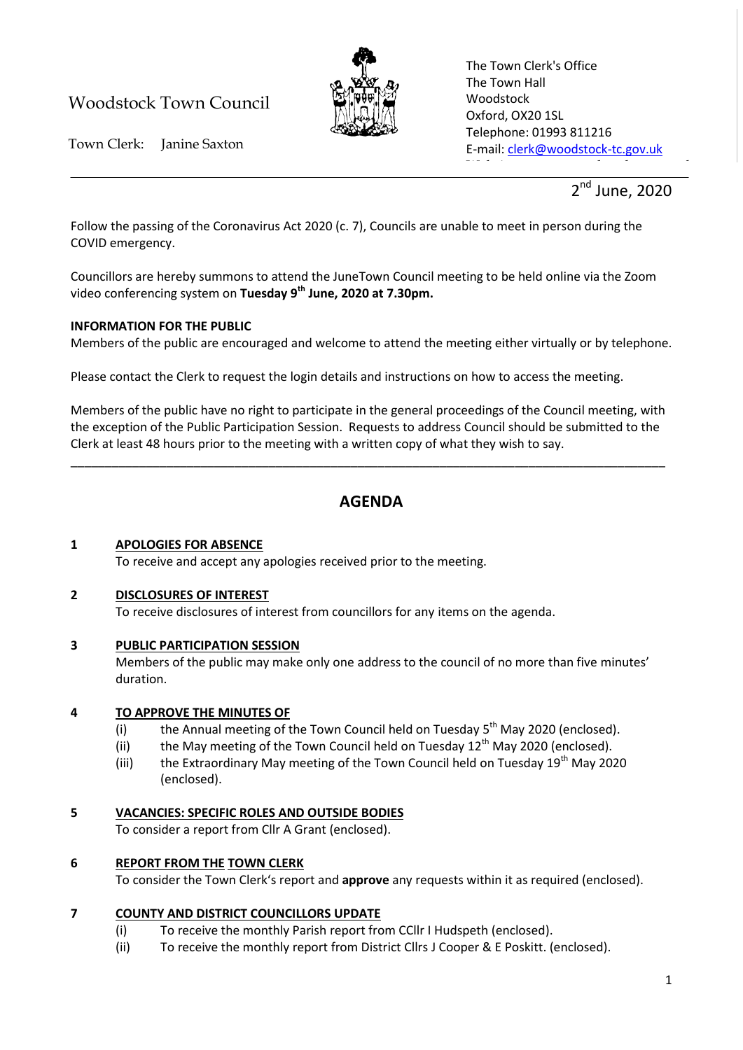# Woodstock Town Council



The Town Clerk's Office The Town Hall Woodstock Oxford, OX20 1SL Telephone: 01993 811216 E-mail: [clerk@woodstock-tc.gov.uk](mailto:clerk@woodstock-tc.gov.uk)

website: www.woodstock-tc.gov.uk<br>https://www.woodstock-tc.gov.uk

Town Clerk: Janine Saxton

 $2^{nd}$ June, 2020

Follow the passing of the Coronavirus Act 2020 (c. 7), Councils are unable to meet in person during the COVID emergency.

Councillors are hereby summons to attend the JuneTown Council meeting to be held online via the Zoom video conferencing system on **Tuesday 9th June, 2020 at 7.30pm.**

### **INFORMATION FOR THE PUBLIC**

Members of the public are encouraged and welcome to attend the meeting either virtually or by telephone.

Please contact the Clerk to request the login details and instructions on how to access the meeting.

Members of the public have no right to participate in the general proceedings of the Council meeting, with the exception of the Public Participation Session. Requests to address Council should be submitted to the Clerk at least 48 hours prior to the meeting with a written copy of what they wish to say.

\_\_\_\_\_\_\_\_\_\_\_\_\_\_\_\_\_\_\_\_\_\_\_\_\_\_\_\_\_\_\_\_\_\_\_\_\_\_\_\_\_\_\_\_\_\_\_\_\_\_\_\_\_\_\_\_\_\_\_\_\_\_\_\_\_\_\_\_\_\_\_\_\_\_\_\_\_\_\_\_\_\_\_\_\_\_\_

## **AGENDA**

### **1 APOLOGIES FOR ABSENCE**

To receive and accept any apologies received prior to the meeting.

### **2 DISCLOSURES OF INTEREST**

To receive disclosures of interest from councillors for any items on the agenda.

## **3 PUBLIC PARTICIPATION SESSION**

Members of the public may make only one address to the council of no more than five minutes' duration.

## **4 TO APPROVE THE MINUTES OF**

- (i) the Annual meeting of the Town Council held on Tuesday  $5<sup>th</sup>$  May 2020 (enclosed).
- (ii) the May meeting of the Town Council held on Tuesday  $12<sup>th</sup>$  May 2020 (enclosed).
- (iii) the Extraordinary May meeting of the Town Council held on Tuesday  $19^{th}$  May 2020 (enclosed).

## **5 VACANCIES: SPECIFIC ROLES AND OUTSIDE BODIES**

To consider a report from Cllr A Grant (enclosed).

## **6 REPORT FROM THE TOWN CLERK**

To consider the Town Clerk's report and **approve** any requests within it as required (enclosed).

## **7 COUNTY AND DISTRICT COUNCILLORS UPDATE**

- (i) To receive the monthly Parish report from CCllr I Hudspeth (enclosed).
- (ii) To receive the monthly report from District Cllrs J Cooper & E Poskitt. (enclosed).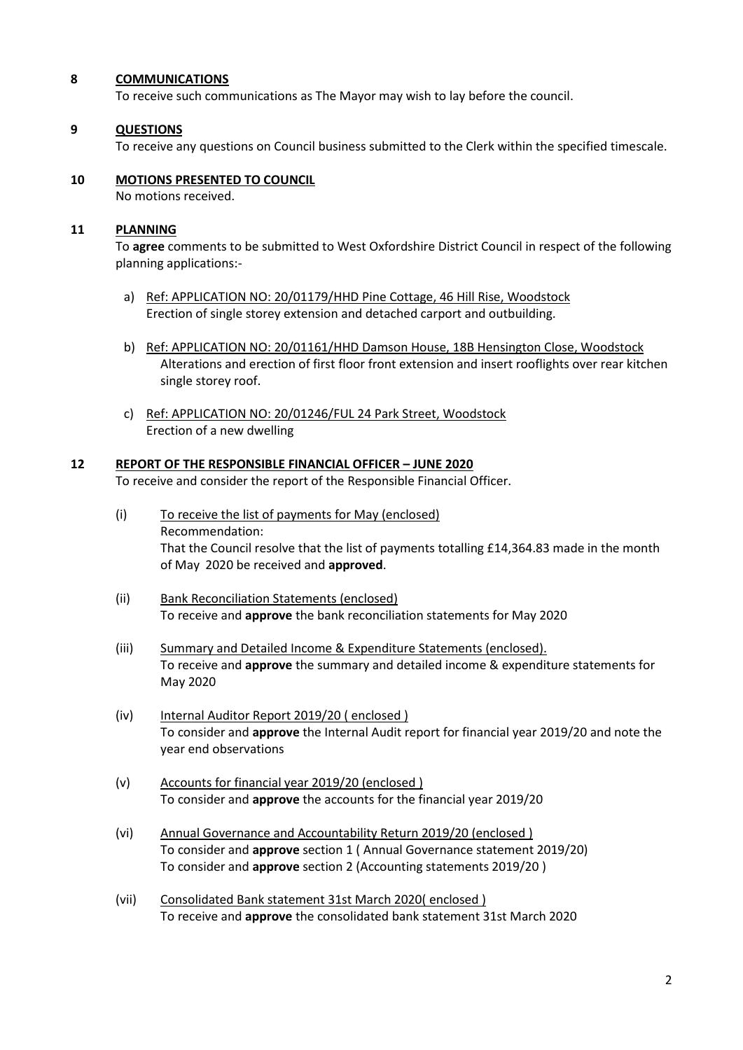#### **8 COMMUNICATIONS**

To receive such communications as The Mayor may wish to lay before the council.

### **9 QUESTIONS**

To receive any questions on Council business submitted to the Clerk within the specified timescale.

## **10 MOTIONS PRESENTED TO COUNCIL**

No motions received.

### **11 PLANNING**

To **agree** comments to be submitted to West Oxfordshire District Council in respect of the following planning applications:-

- a) Ref: APPLICATION NO: 20/01179/HHD Pine Cottage, 46 Hill Rise, Woodstock Erection of single storey extension and detached carport and outbuilding.
- b) Ref: APPLICATION NO: 20/01161/HHD Damson House, 18B Hensington Close, Woodstock Alterations and erection of first floor front extension and insert rooflights over rear kitchen single storey roof.
- c) Ref: APPLICATION NO: 20/01246/FUL 24 Park Street, Woodstock Erection of a new dwelling

### **12 REPORT OF THE RESPONSIBLE FINANCIAL OFFICER – JUNE 2020**

To receive and consider the report of the Responsible Financial Officer.

- (i) To receive the list of payments for May (enclosed) Recommendation: That the Council resolve that the list of payments totalling £14,364.83 made in the month of May 2020 be received and **approved**.
- (ii) Bank Reconciliation Statements (enclosed) To receive and **approve** the bank reconciliation statements for May 2020
- (iii) Summary and Detailed Income & Expenditure Statements (enclosed). To receive and **approve** the summary and detailed income & expenditure statements for May 2020
- (iv) Internal Auditor Report 2019/20 ( enclosed ) To consider and **approve** the Internal Audit report for financial year 2019/20 and note the year end observations
- (v) Accounts for financial year 2019/20 (enclosed ) To consider and **approve** the accounts for the financial year 2019/20
- (vi) Annual Governance and Accountability Return 2019/20 (enclosed ) To consider and **approve** section 1 ( Annual Governance statement 2019/20) To consider and **approve** section 2 (Accounting statements 2019/20 )
- (vii) Consolidated Bank statement 31st March 2020( enclosed ) To receive and **approve** the consolidated bank statement 31st March 2020